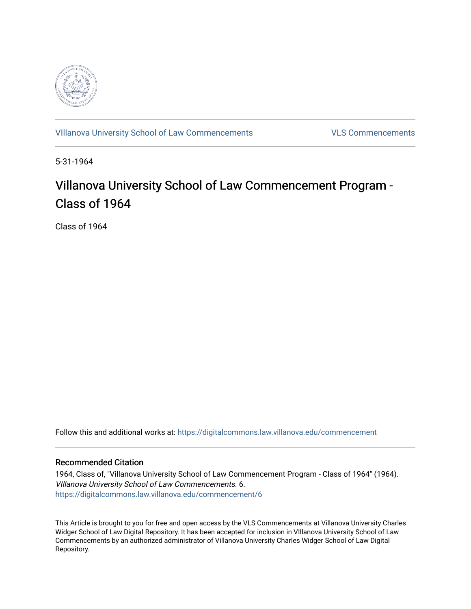

[VIllanova University School of Law Commencements](https://digitalcommons.law.villanova.edu/commencement) [VLS Commencements](https://digitalcommons.law.villanova.edu/vlscommencements) 

5-31-1964

# Villanova University School of Law Commencement Program -Class of 1964

Class of 1964

Follow this and additional works at: [https://digitalcommons.law.villanova.edu/commencement](https://digitalcommons.law.villanova.edu/commencement?utm_source=digitalcommons.law.villanova.edu%2Fcommencement%2F6&utm_medium=PDF&utm_campaign=PDFCoverPages)

#### Recommended Citation

1964, Class of, "Villanova University School of Law Commencement Program - Class of 1964" (1964). VIllanova University School of Law Commencements. 6. [https://digitalcommons.law.villanova.edu/commencement/6](https://digitalcommons.law.villanova.edu/commencement/6?utm_source=digitalcommons.law.villanova.edu%2Fcommencement%2F6&utm_medium=PDF&utm_campaign=PDFCoverPages) 

This Article is brought to you for free and open access by the VLS Commencements at Villanova University Charles Widger School of Law Digital Repository. It has been accepted for inclusion in VIllanova University School of Law Commencements by an authorized administrator of Villanova University Charles Widger School of Law Digital Repository.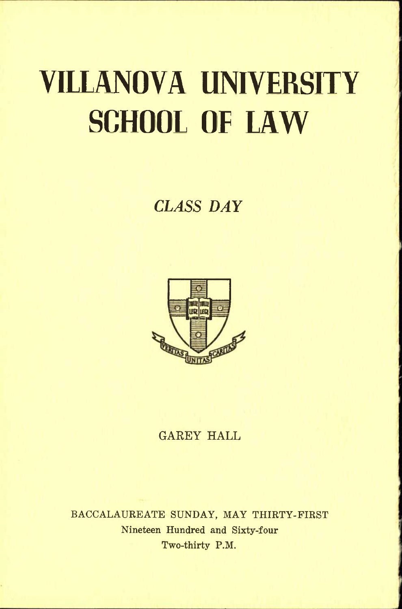# **VIILANOVA UNIVERSITY SCHOOL OF LAW**

*CLASS DAY* 



## **GAREY HALL**

**BACCALAUREATE SUNDAY, MAY THIRTY-FIRST Nineteen Hundred and Sixty-four Two-thirty P.M.**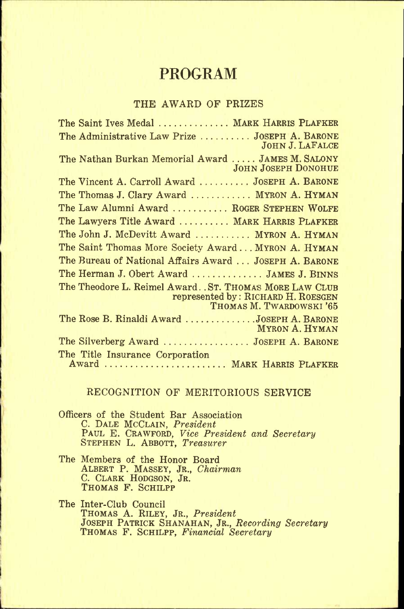## **PROGRAM**

#### **THE AWARD OF PRIZES**

The Saint Ives Medal ............ MARK HARRIS PLAFKER **The Administrative Law Prize JOSEPH A. BARONE JOHN J. LAFALCE**  The Nathan Burkan Memorial Award ..... JAMES M. SALONY **JOHN JOSEPH DONOHUE The Vincent A. Carroll Award JOSEPH A. BARONE The Thomas J. Clary Award ........... MYRON A. HYMAN** The Law Alumni Award .......... ROGER STEPHEN WOLFE **The Lawyers Title Award ........ MARK HARRIS PLAFKER** The John J. McDevitt Award .......... MYRON A. HYMAN **The Saint Thomas More Society Award ... MYRON A. HYMAN The Bureau of National Affairs Award .. . JOSEPH A. BARONE The Herman J. Obert Award .............. JAMES J. BINNS The Theodore L. Reimel Award.. ST. THOMAS MORE LAW CLUB represented by: RICHARD H. ROESGEN THOMAS M. TWARDOWSKI '65 The Rose B. Rinaldi Award JOSEPH A. BARONE MYRON A. HYMAN The Silverberg Award JOSEPH A. BARONE The Title Insurance Corporation**  Award ...................... MARK HARRIS PLAFKER

#### **RECOGNITION OF MERITORIOUS SERVICE**

**Officers of the Student Bar Association C. DALE MCCLAIN,** *President*  **PAUL E. CRAWFORD,** *Vice President and Secretary*  **STEPHEN L. ABBOTT,** *Treasurer* 

**The Members of the Honor Board ALBERT P. MASSEY, JR.,** *Chairman*  **C. CLARK HODGSON, JR. THOMAS F. SCHILPP** 

**The Inter-Club Council THOMAS A. RILEY, JR.,** *President*  **JOSEPH PATRICK SHANAHAN, JR.,** *Recording Secretary*  **THOMAS F. SCHILPP,** *Financial Secretary*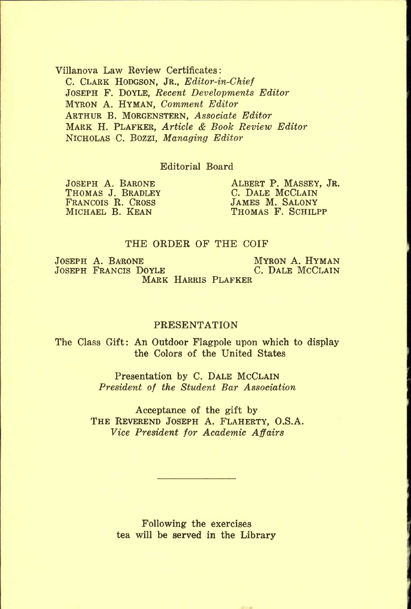**Villanova Law Review Certificates: C. CLARK HODGSON, JR.,** *Editor-in-Chief*  **JOSEPH F. DOYLE,** *Recent Developments Editor*  **MYRON A. HYMAN,** *Comment Editor*  **ARTHUR B. MORGENSTERN,** *Associate Editor*  **MARK H. PLAFKER,** *Article & Book Review Editor*  **NICHOLAS C. BOZZI,** *Managing Editor* 

#### **Editorial Board**

FRANCOIS R. CROSS<br>MICHAEL B. KEAN

**JOSEPH A. BARONE ALBERT P. MASSEY, JR. <br>THOMAS J. BRADLEY C. DALE MCCLAIN C. DALE MCCLAIN**<br>**JAMES M. SALONY** THOMAS F. SCHILPP

#### **THE ORDER OF THE COIF**

**JOSEPH A. BARONE MYRON A. HYMAN**<br>JOSEPH FRANCIS DOYLE **MICLAR** C. DALE MCCLAIN **JOSEPH FRANCIS DOYLE MARK HARRIS PLAFKER** 

#### **PRESENTATION**

**The Class Gift: An Outdoor Flagpole upon which to display the Colors of the United States** 

> **Presentation by C. DALE MCCLAIN**  *President of the Student Bar Association*

**Acceptance of the gift by THE REVEREND JOSEPH A. FLAHERTY, O.S.A.**  *Vice President for Academic Affairs* 

> **Following the exercises tea will be served in the Library**